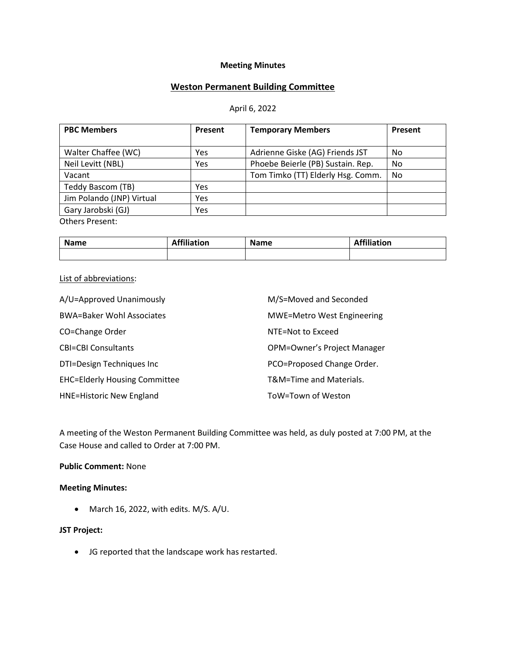### **Meeting Minutes**

## **Weston Permanent Building Committee**

#### April 6, 2022

| <b>PBC Members</b>        | Present | <b>Temporary Members</b>          | Present |
|---------------------------|---------|-----------------------------------|---------|
|                           |         |                                   |         |
| Walter Chaffee (WC)       | Yes     | Adrienne Giske (AG) Friends JST   | No      |
| Neil Levitt (NBL)         | Yes     | Phoebe Beierle (PB) Sustain. Rep. | No      |
| Vacant                    |         | Tom Timko (TT) Elderly Hsg. Comm. | No      |
| Teddy Bascom (TB)         | Yes     |                                   |         |
| Jim Polando (JNP) Virtual | Yes     |                                   |         |
| Gary Jarobski (GJ)        | Yes     |                                   |         |
| Others Present:           |         |                                   |         |

**Name Affiliation Name Affiliation Affiliation** 

### List of abbreviations:

| A/U=Approved Unanimously             | M/S=Moved and Seconded            |
|--------------------------------------|-----------------------------------|
| <b>BWA=Baker Wohl Associates</b>     | <b>MWE=Metro West Engineering</b> |
| CO=Change Order                      | NTE=Not to Exceed                 |
| <b>CBI=CBI Consultants</b>           | OPM=Owner's Project Manager       |
| DTI=Design Techniques Inc            | PCO=Proposed Change Order.        |
| <b>EHC=Elderly Housing Committee</b> | T&M=Time and Materials.           |
| <b>HNE=Historic New England</b>      | ToW=Town of Weston                |

A meeting of the Weston Permanent Building Committee was held, as duly posted at 7:00 PM, at the Case House and called to Order at 7:00 PM.

## **Public Comment:** None

### **Meeting Minutes:**

• March 16, 2022, with edits. M/S. A/U.

### **JST Project:**

• JG reported that the landscape work has restarted.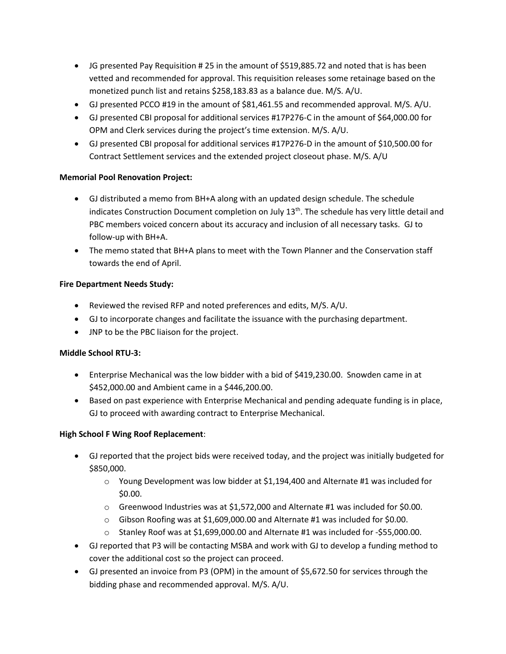- JG presented Pay Requisition # 25 in the amount of \$519,885.72 and noted that is has been vetted and recommended for approval. This requisition releases some retainage based on the monetized punch list and retains \$258,183.83 as a balance due. M/S. A/U.
- GJ presented PCCO #19 in the amount of \$81,461.55 and recommended approval. M/S. A/U.
- GJ presented CBI proposal for additional services #17P276-C in the amount of \$64,000.00 for OPM and Clerk services during the project's time extension. M/S. A/U.
- GJ presented CBI proposal for additional services #17P276-D in the amount of \$10,500.00 for Contract Settlement services and the extended project closeout phase. M/S. A/U

## **Memorial Pool Renovation Project:**

- GJ distributed a memo from BH+A along with an updated design schedule. The schedule indicates Construction Document completion on July  $13<sup>th</sup>$ . The schedule has very little detail and PBC members voiced concern about its accuracy and inclusion of all necessary tasks. GJ to follow-up with BH+A.
- The memo stated that BH+A plans to meet with the Town Planner and the Conservation staff towards the end of April.

## **Fire Department Needs Study:**

- Reviewed the revised RFP and noted preferences and edits, M/S. A/U.
- GJ to incorporate changes and facilitate the issuance with the purchasing department.
- JNP to be the PBC liaison for the project.

## **Middle School RTU-3:**

- Enterprise Mechanical was the low bidder with a bid of \$419,230.00. Snowden came in at \$452,000.00 and Ambient came in a \$446,200.00.
- Based on past experience with Enterprise Mechanical and pending adequate funding is in place, GJ to proceed with awarding contract to Enterprise Mechanical.

# **High School F Wing Roof Replacement**:

- GJ reported that the project bids were received today, and the project was initially budgeted for \$850,000.
	- $\circ$  Young Development was low bidder at \$1,194,400 and Alternate #1 was included for \$0.00.
	- o Greenwood Industries was at \$1,572,000 and Alternate #1 was included for \$0.00.
	- $\circ$  Gibson Roofing was at \$1,609,000.00 and Alternate #1 was included for \$0.00.
	- $\circ$  Stanley Roof was at \$1,699,000.00 and Alternate #1 was included for -\$55,000.00.
- GJ reported that P3 will be contacting MSBA and work with GJ to develop a funding method to cover the additional cost so the project can proceed.
- GJ presented an invoice from P3 (OPM) in the amount of \$5,672.50 for services through the bidding phase and recommended approval. M/S. A/U.